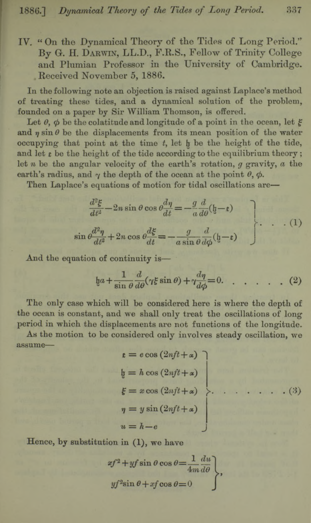**IV. " On the Dynamical Theory of the Tides of Long Period." B y G. H. D arwin, LL.D., F.R.S., Fellow of Trinity College and Plumian Professor in the University of Cambridge. . Received November 5, 1886.**

**In the following note an objection is raised against Laplace's method of treating these tides, and a dynamical solution of the problem, founded on a paper by Sir William Thomson, is offered.**

Let  $\theta$ ,  $\phi$  be the colatitude and longitude of a point in the ocean, let  $\xi$ and  $\eta$  sin  $\theta$  be the displacements from its mean position of the water **occupying** that point at the time *t*, let h be the height of the tide, **and let** *t* **be the height of the tide according to the equilibrium theory; let** *n* **be the angular velocity of the earth's rotation,** *g* **gravity,** *a* **the** earth's radius, and  $\gamma$  the depth of the ocean at the point  $\theta$ ,  $\phi$ .

**Then Laplace's equations of motion for tidal oscillations are—**

$$
\frac{d^2\xi}{dt^2} - 2n\sin\theta\cos\theta \frac{d\eta}{dt} = -\frac{g}{a}\frac{d}{d\theta}(\xi - \xi)
$$
\n
$$
\sin\theta \frac{d^2\eta}{dt^2} + 2n\cos\theta \frac{d\xi}{dt} = -\frac{g}{a\sin\theta}\frac{d}{d\phi}(\xi - \xi)
$$
\n(1)

**And the equation of continuity is—**

$$
\mathfrak{h}a + \frac{1}{\sin \theta} \frac{d}{d\theta} (\gamma \xi \sin \theta) + \gamma \frac{d\eta}{d\phi} = 0. \quad . \quad . \quad . \quad . \tag{2}
$$

**The only case which will be considered here is where the depth of the ocean is constant, and we shall only treat the oscillations of long period in which the displacements are not functions of the longitude.**

**As the motion to be considered only involves steady oscillation, we assume—**

$$
\begin{aligned}\n\mathbf{t} &= e \cos(2nft + \alpha) \\
\mathbf{t} &= h \cos(2nft + \alpha) \\
\mathbf{\xi} &= x \cos(2nft + \alpha) \\
\eta &= y \sin(2nft + \alpha) \\
\mathbf{u} &= h - e\n\end{aligned}
$$

**Hence, by substitution in (1), we have**

$$
xf^{2} + yf \sin \theta \cos \theta = \frac{1}{4m} \frac{du}{d\theta}
$$
  

$$
yf^{2} \sin \theta + xf \cos \theta = 0
$$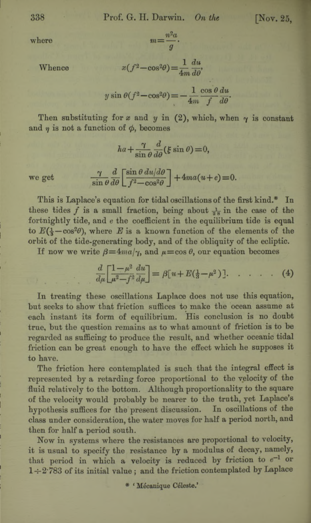where  $m = \frac{n^2 a}{2}$ 

$$
y
$$
  
Whence 
$$
x(f^2 - \cos^2 \theta) = \frac{1}{4m} \frac{du}{d\theta},
$$

 $\sin \theta (f^2 - \cos^2 \theta) = -\frac{1}{\cos \theta} \frac{\cos \theta}{\sin \theta}$  $\frac{1}{2}$   $4m$   $f$   $d\theta$ 

Then substituting for  $x$  and  $y$  in (2), which, when  $\gamma$  is constant and  $\eta$  is not a function of  $\phi$ , becomes

 $ha + \frac{\gamma}{\sin \theta} \frac{d}{d\theta} (\xi \sin \theta) = 0,$ 

we get  $\frac{\gamma}{\sin \theta} \frac{d}{d\theta} \left[ \frac{\sin \theta \, du/d\theta}{f^2 - \cos^2 \theta} \right] + 4ma(u+e) = 0.$ 

**This is Laplace's equation for tidal oscillations of the first kind.\* In** these tides f is a small fraction, being about  $\frac{1}{28}$  in the case of the **fortnightly tide, and** e **the coefficient in the equilibrium tide is equal** to  $E(\frac{1}{2} - \cos^2\theta)$ , where *E* is a known function of the elements of the **orbit of the tide-generating body, and of the obliquity of the ecliptic.**

If now we write  $\beta = 4ma/\gamma$ , and  $\mu = \cos \theta$ , our equation becomes

$$
\frac{d}{d\mu} \left[ \frac{1-\mu^2}{\mu^2 - f^2} \frac{du}{d\mu} \right] = \beta [u + E(\frac{1}{3} - \mu^3)]. \quad . \quad . \quad . \quad . \tag{4}
$$

**In treating these oscillations Laplace does not use this equation, but seeks to show that friction suffices to make the ocean assume at each instant its form of equilibrium. His conclusion is no doubt true, but the question remains as to what amount of friction is to be regarded as sufficing to produce the result, and whether oceanic tidal friction can be great enough to have the effect which he supposes it to have.**

**The friction here contemplated is such that the integral effect is represented by a retarding force proportional to the velocity of the fluid relatively to the bottom. Although proportionality to the square of the velocity would probably be nearer to the troth, yet Laplace's hypothesis suffices for the present discussion. In oscillations of the class under consideration, the water moves for half a period north, and then for half a period south.**

**How in systems where the resistances are proportional to velocity, it is usual to specify the resistance by a modulus of decay, namely,** that period in which a velocity is reduced by friction to  $e^{-1}$  or **1-t-2'783 of its initial value ; and the friction contemplated by Laplace**

**\* ' Mecanique Celeste.\***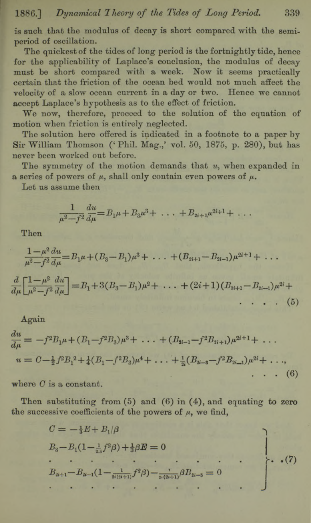**is such that the modulus of decay is short compared with the semiperiod of oscillation.**

**The quickest of the tides of long period is the fortnightly tide, hence for the applicability of Laplace's conclusion, the modulus of decay must be short compared with a week. Now it seems practically certain that the friction of the ocean bed would not much affect the velocity of a slow ocean current in a day or two. Hence we cannot accept Laplace's hypothesis as to the effect of friction.**

**We now, therefore, proceed to the solution of the equation of motion when friction is entirely neglected.**

**The solution here offered is indicated in a footnote to a paper by** Sir William Thomson (' Phil. Mag.,' vol. 50, 1875, p. 280), but has **never been worked out before.**

**The symmetry of the motion demands that** *u,* **when expanded in a** series of powers of  $\mu$ , shall only contain even powers of  $\mu$ .

**Let us assume then**

$$
\frac{1}{\mu^2 - f^2} \frac{du}{d\mu} = B_1 \mu + B_3 \mu^3 + \ldots + B_{2i+1} \mu^{2i+1} + \ldots
$$

**Then**

$$
\frac{1-\mu^2}{\mu^2 - f^2} \frac{du}{d\mu} = B_1 \mu + (B_3 - B_1)\mu^3 + \dots + (B_{2i+1} - B_{2i-1})\mu^{2i+1} + \dots
$$
  

$$
\frac{d}{d\mu} \left[ \frac{1-\mu^2}{\mu^2 - f^2} \frac{du}{d\mu} \right] = B_1 + 3(B_3 - B_1)\mu^2 + \dots + (2i+1)(B_{2i+1} - B_{2i-1})\mu^{2i} + \dots
$$
 (5)

**Again**

$$
\frac{du}{d\mu} = -f^2 B_1 \mu + (B_1 - f^2 B_3) \mu^3 + \dots + (B_{2i-1} - f^2 B_{2i+1}) \mu^{2i+1} + \dots
$$
  

$$
u = C - \frac{1}{2} f^2 B_1^2 + \frac{1}{4} (B_1 - f^2 B_3) \mu^4 + \dots + \frac{1}{2i} (B_{2i-3} - f^2 B_{2i-1}) \mu^{2i} + \dots
$$
  

$$
\dots \qquad (6)
$$

**where** *G***is a constant.**

**Then substituting from (5) and (6) in (4), and equating to zero the successive coefficients of the powers of** */i,* **we find,**

$$
C = -\frac{1}{3}E + B_1/\beta
$$
  
\n
$$
B_3 - B_1(1 - \frac{1}{2\beta}f^2\beta) + \frac{1}{3}\beta E = 0
$$
  
\n
$$
B_{2i+1} - B_{2i-1}(1 - \frac{1}{2i(2i+1)}f^2\beta) - \frac{1}{2i(2i+1)}\beta B_{2i-3} = 0
$$
 (7)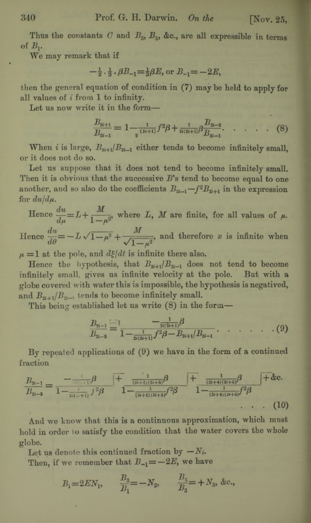Thus the constants  $C$  and  $B_{3}$ ,  $B_{5}$ , &c., are all expressible in terms of *Bv*

We may remark that if

 $-\frac{1}{2} \cdot \frac{1}{2} \cdot \beta B_{-1} = \frac{1}{2} \beta E$ , or  $B_{-1} = -2E$ .

then the general equation of condition in (7) may be held to apply for all values of *i* from 1 to infinity.

Let us now write it in the form—

$$
\frac{B_{2i+1}}{B_{2i-1}} = 1 - \frac{1}{2^{(2i+1)}} f^2 \beta + \frac{1}{2i(2i+1)} \beta \frac{B_{2i-3}}{B_{2i-1}}.
$$
 (8)

When *i* is large,  $B_{2i+1}/B_{2i-1}$  either tends to become infinitely small, or it does not do so.

Let us suppose that it does not tend to become infinitely small. Then it is obvious that the successive *B '*s tend to become equal to one another, and so also do the coefficients  $B_{2i-1} - f^2 B_{2i+1}$  in the expression for  $du/d\mu$ .

Hence  $\frac{du}{du} = L + \frac{M}{1-\mu^2}$ , where *L*, *M* are finite, for all values of  $\mu$ .  $du = \frac{1}{2}$ Hence  $\frac{d}{d\theta} = -L\sqrt{1-\mu^2} + \frac{1}{\sqrt{1-\mu^2}}$ , and therefore x is infinite when

 $\mu = 1$  at the pole, and  $d\xi/dt$  is infinite there also.

Hence the hypothesis, that  $B_{2i+1}/B_{2i-1}$  does not tend to become infinitely small, gives us infinite velocity at the pole. But with a globe covered with water this is impossible, the hypothesis is negatived, and  $B_{n+1}/B_{n-1}$  tends to become infinitely small.

This being established let us write (8) in the form—

$$
\frac{B_{2i-1}}{B_{2i-3}} = \frac{-\frac{1}{2i(2i+1)}\beta}{1-\frac{1}{2i(2i+1)}f^2\beta - B_{2i+1}/B_{2i-1}}.\quad \ldots \quad . \quad . \quad . \tag{9}
$$

By repeated applications of (9) we have in the form of a continued fraction

$$
\frac{B_{2i-1}}{B_{2i-3}} = \frac{-\frac{1}{(2i+1)}\beta}{1 - \frac{1}{2i(2i+1)}\beta^2\beta} \frac{1}{1 - \frac{1}{(2i+2)(2i+3)}\beta^2} \frac{1}{1 - \frac{1}{(2i+4)(2i+5)}\beta^3} + \text{&c.}
$$
\n(10)

And we know that this is a continuous approximation, which must hold in order 10 satisfy the condition that the water covers the whole globe.

Let us denote this continued fraction by  $-N_i$ .

Then, if we remember that  $B_{-1} = -2E$ , we have

$$
B_1 = 2EN_1, \qquad \frac{B_3}{B_1} = -N_2, \qquad \frac{B_5}{B_3} = +N_3, \&c.,
$$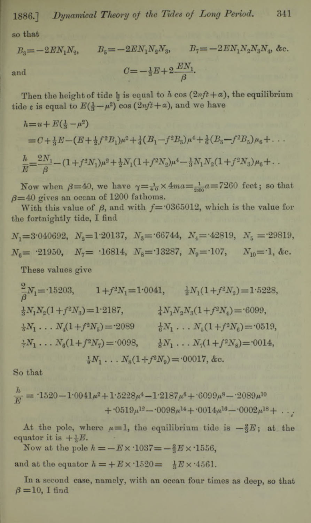**1886.]** *Dynamical Theory of the Tides of Long Period.* **341**

**so that**

$$
B_3 = -2EN_1N_2, \t B_5 = -2EN_1N_2N_3, \t B_7 = -2EN_1N_2N_3N_4, \&c.
$$
  
and  

$$
C = -\frac{1}{3}E + 2\frac{EN_1}{\beta}.
$$

Then the height of tide  $\mathbf{h}$  is equal to  $\mathbf{h}$  cos  $(2nft + \alpha)$ , the equilibrium **tide** *t* is equal to  $E(\frac{1}{2} - \mu^2)$  cos  $(2nft + \alpha)$ , and we have

$$
h = u + E(\frac{1}{3} - \mu^2)
$$
  
=  $C + \frac{1}{3}E - (E + \frac{1}{2}f^2B_1)\mu^2 + \frac{1}{4}(B_1 - f^2B_3)\mu^4 + \frac{1}{6}(B_3 - f^2B_5)\mu_6 + \dots$   

$$
\frac{h}{E} = \frac{2N_1}{\beta} - (1 + f^2N_1)\mu^2 + \frac{1}{2}N_1(1 + f^2N_2)\mu^4 - \frac{1}{3}N_1N_2(1 + f^2N_3)\mu_6 + \dots
$$

Now when  $\beta = 40$ , we have  $\gamma = \frac{1}{40} \times 4$  m  $\alpha = \frac{1}{200} a = 7260$  feet; so that  $\beta$ =40 gives an ocean of 1200 fathoms.

With this value of  $\beta$ , and with  $f = 0365012$ , which is the value for **the fortnightly tide, I find**

 $N_1 = 3.040692, N_2 = 1.20137, N_3 = 66744, N_4 = 42819, N_5 = 29819,$  $N_6$  =  $\cdot$ **21950,**  $N_7$  =  $\cdot$ **16814,**  $N_8$  =  $\cdot$ **13287,**  $N_9$  =  $\cdot$ **107,**  $N_{10}$  =  $\cdot$ **1**, &c.

**These values give**

 $\frac{2}{3}N_1 = 15203,$   $1 + f^2N_1 = 1.0041,$   $\frac{1}{2}N_1(1 + f^2N_2) = 1.5228,$  $\frac{1}{4} N_1 N_2 ( 1 + f^2 N_3) = 1.2187, \qquad \frac{1}{4} N_1 N_2 N_3 ( 1 + f^2 N_4) = 6099,$  $\frac{1}{6}N_1 \ldots N_4(1+f^2N_5) = 2089$   $\frac{1}{6}N_1 \ldots N_5(1+f^2N_6) = 0519$  $\frac{1}{2}N_1 \ldots N_6(1+f^2N_7) = 0.098, \qquad \frac{1}{8}N_1 \ldots N_7(1+f^2N_8) = 0.014,$ 

$$
\frac{1}{9}N_1 \ldots N_8(1+f^2N_9) = 0.0017, \&c.
$$

**So that**

$$
\frac{h}{E} = 1520 - 10041\mu^2 + 15228\mu^4 - 12187\mu^6 + 6099\mu^8 - 2089\mu^{10}
$$
  
+ 0519\mu^{12} - 0098\mu^{14} + 0014\mu^{16} - 0002\mu^{18} + ...

At the pole, where  $\mu=1$ , the equilibrium tide is  $-\frac{2}{3}E$ ; at the equator it is  $+ \frac{1}{2}E$ .

Now at the pole  $h = -E \times 1037 = -\frac{2}{3}E \times 1556$ ,

and at the equator  $h = +E \times 1520 = \frac{1}{2}E \times 4561$ .

**In a second case, namely, with an ocean four times as deep, so that**  $\beta = 10$ , I find